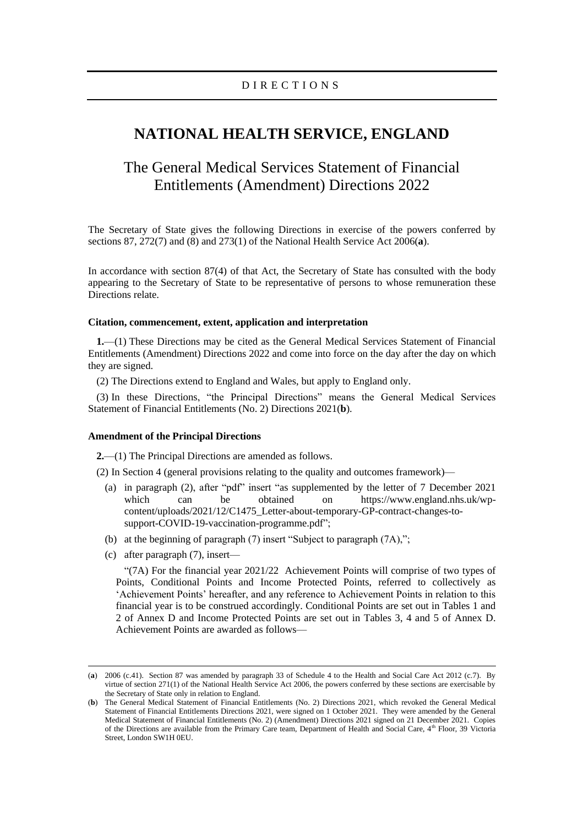# **NATIONAL HEALTH SERVICE, ENGLAND**

# The General Medical Services Statement of Financial Entitlements (Amendment) Directions 2022

The Secretary of State gives the following Directions in exercise of the powers conferred by sections 87, 272(7) and (8) and 273(1) of the National Health Service Act 2006(**a**).

In accordance with section 87(4) of that Act, the Secretary of State has consulted with the body appearing to the Secretary of State to be representative of persons to whose remuneration these Directions relate.

#### **Citation, commencement, extent, application and interpretation**

**1.**—(1) These Directions may be cited as the General Medical Services Statement of Financial Entitlements (Amendment) Directions 2022 and come into force on the day after the day on which they are signed.

(2) The Directions extend to England and Wales, but apply to England only.

(3) In these Directions, "the Principal Directions" means the General Medical Services Statement of Financial Entitlements (No. 2) Directions 2021(**b**).

#### **Amendment of the Principal Directions**

**2.**—(1) The Principal Directions are amended as follows.

(2) In Section 4 (general provisions relating to the quality and outcomes framework)—

- (a) in paragraph (2), after "pdf" insert "as supplemented by the letter of 7 December 2021 which can be obtained on [https://www.england.nhs.uk/wp](https://eur03.safelinks.protection.outlook.com/?url=https%3A%2F%2Fwww.england.nhs.uk%2Fwp-content%2Fuploads%2F2021%2F12%2FC1475_Letter-about-temporary-GP-contract-changes-to-support-COVID-19-vaccination-programme.pdf&data=04%7C01%7CEoin.Cassidy%40dhsc.gov.uk%7Caba2176a231345c679d408d9d4dbeea9%7C61278c3091a84c318c1fef4de8973a1c%7C1%7C0%7C637774863464618870%7CUnknown%7CTWFpbGZsb3d8eyJWIjoiMC4wLjAwMDAiLCJQIjoiV2luMzIiLCJBTiI6Ik1haWwiLCJXVCI6Mn0%3D%7C3000&sdata=yfq1AxM%2BGviGnl%2FUgzrCbXxI2md4aBXm8z%2FITmrZXVk%3D&reserved=0)[content/uploads/2021/12/C1475\\_Letter-about-temporary-GP-contract-changes-to](https://eur03.safelinks.protection.outlook.com/?url=https%3A%2F%2Fwww.england.nhs.uk%2Fwp-content%2Fuploads%2F2021%2F12%2FC1475_Letter-about-temporary-GP-contract-changes-to-support-COVID-19-vaccination-programme.pdf&data=04%7C01%7CEoin.Cassidy%40dhsc.gov.uk%7Caba2176a231345c679d408d9d4dbeea9%7C61278c3091a84c318c1fef4de8973a1c%7C1%7C0%7C637774863464618870%7CUnknown%7CTWFpbGZsb3d8eyJWIjoiMC4wLjAwMDAiLCJQIjoiV2luMzIiLCJBTiI6Ik1haWwiLCJXVCI6Mn0%3D%7C3000&sdata=yfq1AxM%2BGviGnl%2FUgzrCbXxI2md4aBXm8z%2FITmrZXVk%3D&reserved=0)[support-COVID-19-vaccination-programme.pdf"](https://eur03.safelinks.protection.outlook.com/?url=https%3A%2F%2Fwww.england.nhs.uk%2Fwp-content%2Fuploads%2F2021%2F12%2FC1475_Letter-about-temporary-GP-contract-changes-to-support-COVID-19-vaccination-programme.pdf&data=04%7C01%7CEoin.Cassidy%40dhsc.gov.uk%7Caba2176a231345c679d408d9d4dbeea9%7C61278c3091a84c318c1fef4de8973a1c%7C1%7C0%7C637774863464618870%7CUnknown%7CTWFpbGZsb3d8eyJWIjoiMC4wLjAwMDAiLCJQIjoiV2luMzIiLCJBTiI6Ik1haWwiLCJXVCI6Mn0%3D%7C3000&sdata=yfq1AxM%2BGviGnl%2FUgzrCbXxI2md4aBXm8z%2FITmrZXVk%3D&reserved=0);
- (b) at the beginning of paragraph (7) insert "Subject to paragraph (7A),";
- (c) after paragraph (7), insert—

"(7A) For the financial year 2021/22 Achievement Points will comprise of two types of Points, Conditional Points and Income Protected Points, referred to collectively as 'Achievement Points' hereafter, and any reference to Achievement Points in relation to this financial year is to be construed accordingly. Conditional Points are set out in Tables 1 and 2 of Annex D and Income Protected Points are set out in Tables 3, 4 and 5 of Annex D. Achievement Points are awarded as follows—

<sup>(</sup>**a**) 2006 (c.41). Section 87 was amended by paragraph 33 of Schedule 4 to the Health and Social Care Act 2012 (c.7). By virtue of section 271(1) of the National Health Service Act 2006, the powers conferred by these sections are exercisable by the Secretary of State only in relation to England.

<sup>(</sup>**b**) The General Medical Statement of Financial Entitlements (No. 2) Directions 2021, which revoked the General Medical Statement of Financial Entitlements Directions 2021, were signed on 1 October 2021. They were amended by the General Medical Statement of Financial Entitlements (No. 2) (Amendment) Directions 2021 signed on 21 December 2021. Copies of the Directions are available from the Primary Care team, Department of Health and Social Care, 4th Floor, 39 Victoria Street, London SW1H 0EU.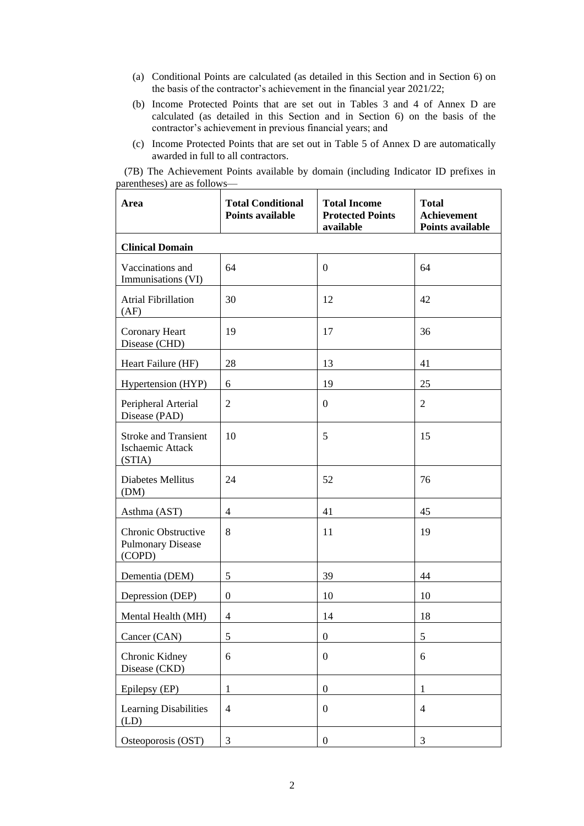- (a) Conditional Points are calculated (as detailed in this Section and in Section 6) on the basis of the contractor's achievement in the financial year 2021/22;
- (b) Income Protected Points that are set out in Tables 3 and 4 of Annex D are calculated (as detailed in this Section and in Section 6) on the basis of the contractor's achievement in previous financial years; and
- (c) Income Protected Points that are set out in Table 5 of Annex D are automatically awarded in full to all contractors.

(7B) The Achievement Points available by domain (including Indicator ID prefixes in parentheses) are as follows—

| Area                                                      | <b>Total Conditional</b><br><b>Points available</b> | <b>Total Income</b><br><b>Protected Points</b><br>available | <b>Total</b><br>Achievement<br>Points available |
|-----------------------------------------------------------|-----------------------------------------------------|-------------------------------------------------------------|-------------------------------------------------|
| <b>Clinical Domain</b>                                    |                                                     |                                                             |                                                 |
| Vaccinations and<br>Immunisations (VI)                    | 64                                                  | $\boldsymbol{0}$                                            | 64                                              |
| <b>Atrial Fibrillation</b><br>(AF)                        | 30                                                  | 12                                                          | 42                                              |
| Coronary Heart<br>Disease (CHD)                           | 19                                                  | 17                                                          | 36                                              |
| Heart Failure (HF)                                        | 28                                                  | 13                                                          | 41                                              |
| Hypertension (HYP)                                        | 6                                                   | 19                                                          | 25                                              |
| Peripheral Arterial<br>Disease (PAD)                      | $\overline{2}$                                      | $\boldsymbol{0}$                                            | $\overline{2}$                                  |
| <b>Stroke and Transient</b><br>Ischaemic Attack<br>(STIA) | 10                                                  | 5                                                           | 15                                              |
| Diabetes Mellitus<br>(DM)                                 | 24                                                  | 52                                                          | 76                                              |
| Asthma (AST)                                              | $\overline{4}$                                      | 41                                                          | 45                                              |
| Chronic Obstructive<br><b>Pulmonary Disease</b><br>(COPD) | 8                                                   | 11                                                          | 19                                              |
| Dementia (DEM)                                            | 5                                                   | 39                                                          | 44                                              |
| Depression (DEP)                                          | $\mathbf{0}$                                        | 10                                                          | 10                                              |
| Mental Health (MH)                                        | $\overline{4}$                                      | 14                                                          | 18                                              |
| Cancer (CAN)                                              | 5                                                   | $\boldsymbol{0}$                                            | 5                                               |
| Chronic Kidney<br>Disease (CKD)                           | 6                                                   | $\boldsymbol{0}$                                            | 6                                               |
| Epilepsy (EP)                                             | $\mathbf{1}$                                        | $\boldsymbol{0}$                                            | 1                                               |
| Learning Disabilities<br>(LD)                             | $\overline{4}$                                      | $\boldsymbol{0}$                                            | $\overline{4}$                                  |
| Osteoporosis (OST)                                        | 3                                                   | $\boldsymbol{0}$                                            | 3                                               |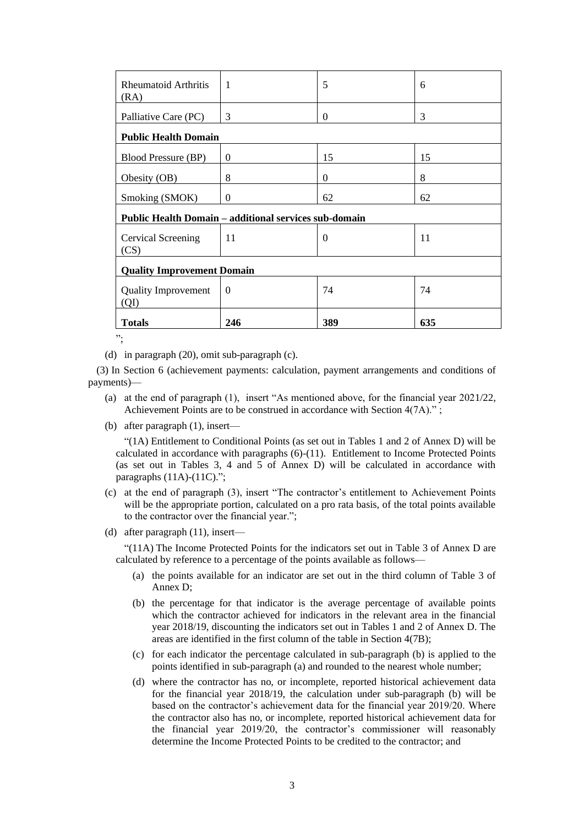| <b>Rheumatoid Arthritis</b><br>(RA) | $\overline{1}$                                        | 5        | 6   |  |
|-------------------------------------|-------------------------------------------------------|----------|-----|--|
| Palliative Care (PC)                | 3                                                     | $\Omega$ | 3   |  |
| <b>Public Health Domain</b>         |                                                       |          |     |  |
| <b>Blood Pressure (BP)</b>          | $\Omega$                                              | 15       | 15  |  |
| Obesity (OB)                        | 8                                                     | $\Omega$ | 8   |  |
| Smoking (SMOK)                      | $\Omega$                                              | 62       | 62  |  |
|                                     | Public Health Domain - additional services sub-domain |          |     |  |
| Cervical Screening<br>(CS)          | 11                                                    | $\theta$ | 11  |  |
| <b>Quality Improvement Domain</b>   |                                                       |          |     |  |
| <b>Quality Improvement</b><br>(QI)  | $\Omega$                                              | 74       | 74  |  |
| <b>Totals</b>                       | 246                                                   | 389      | 635 |  |

";

(d) in paragraph (20), omit sub-paragraph (c).

(3) In Section 6 (achievement payments: calculation, payment arrangements and conditions of payments)—

- (a) at the end of paragraph (1), insert "As mentioned above, for the financial year 2021/22, Achievement Points are to be construed in accordance with Section 4(7A).";
- (b) after paragraph (1), insert—

"(1A) Entitlement to Conditional Points (as set out in Tables 1 and 2 of Annex D) will be calculated in accordance with paragraphs  $(6)-(11)$ . Entitlement to Income Protected Points (as set out in Tables 3, 4 and 5 of Annex D) will be calculated in accordance with paragraphs (11A)-(11C).";

- (c) at the end of paragraph (3), insert "The contractor's entitlement to Achievement Points will be the appropriate portion, calculated on a pro rata basis, of the total points available to the contractor over the financial year.";
- (d) after paragraph (11), insert—

"(11A) The Income Protected Points for the indicators set out in Table 3 of Annex D are calculated by reference to a percentage of the points available as follows—

- (a) the points available for an indicator are set out in the third column of Table 3 of Annex D;
- (b) the percentage for that indicator is the average percentage of available points which the contractor achieved for indicators in the relevant area in the financial year 2018/19, discounting the indicators set out in Tables 1 and 2 of Annex D. The areas are identified in the first column of the table in Section 4(7B);
- (c) for each indicator the percentage calculated in sub-paragraph (b) is applied to the points identified in sub-paragraph (a) and rounded to the nearest whole number;
- (d) where the contractor has no, or incomplete, reported historical achievement data for the financial year 2018/19, the calculation under sub-paragraph (b) will be based on the contractor's achievement data for the financial year 2019/20. Where the contractor also has no, or incomplete, reported historical achievement data for the financial year 2019/20, the contractor's commissioner will reasonably determine the Income Protected Points to be credited to the contractor; and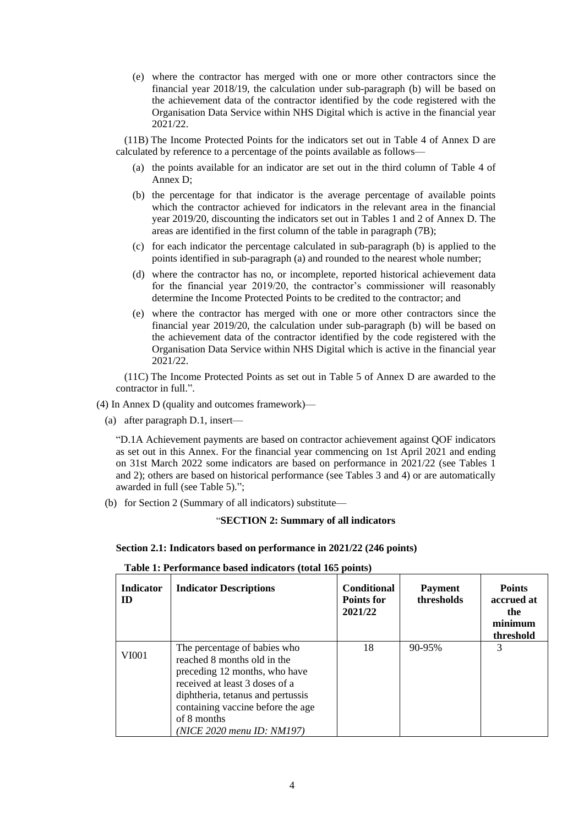(e) where the contractor has merged with one or more other contractors since the financial year 2018/19, the calculation under sub-paragraph (b) will be based on the achievement data of the contractor identified by the code registered with the Organisation Data Service within NHS Digital which is active in the financial year 2021/22.

(11B) The Income Protected Points for the indicators set out in Table 4 of Annex D are calculated by reference to a percentage of the points available as follows—

- (a) the points available for an indicator are set out in the third column of Table 4 of Annex D;
- (b) the percentage for that indicator is the average percentage of available points which the contractor achieved for indicators in the relevant area in the financial year 2019/20, discounting the indicators set out in Tables 1 and 2 of Annex D. The areas are identified in the first column of the table in paragraph (7B);
- (c) for each indicator the percentage calculated in sub-paragraph (b) is applied to the points identified in sub-paragraph (a) and rounded to the nearest whole number;
- (d) where the contractor has no, or incomplete, reported historical achievement data for the financial year 2019/20, the contractor's commissioner will reasonably determine the Income Protected Points to be credited to the contractor; and
- (e) where the contractor has merged with one or more other contractors since the financial year 2019/20, the calculation under sub-paragraph (b) will be based on the achievement data of the contractor identified by the code registered with the Organisation Data Service within NHS Digital which is active in the financial year 2021/22.

(11C) The Income Protected Points as set out in Table 5 of Annex D are awarded to the contractor in full.".

(4) In Annex D (quality and outcomes framework)—

(a) after paragraph D.1, insert—

"D.1A Achievement payments are based on contractor achievement against QOF indicators as set out in this Annex. For the financial year commencing on 1st April 2021 and ending on 31st March 2022 some indicators are based on performance in 2021/22 (see Tables 1 and 2); others are based on historical performance (see Tables 3 and 4) or are automatically awarded in full (see Table 5).";

(b) for Section 2 (Summary of all indicators) substitute—

### "**SECTION 2: Summary of all indicators**

#### **Section 2.1: Indicators based on performance in 2021/22 (246 points)**

| Table 1: Performance based indicators (total 165 points) |  |  |
|----------------------------------------------------------|--|--|
|----------------------------------------------------------|--|--|

| <b>Indicator</b><br><b>ID</b> | <b>Indicator Descriptions</b>                                                                                                                                                                                                                         | <b>Conditional</b><br>Points for<br>2021/22 | <b>Payment</b><br>thresholds | <b>Points</b><br>accrued at<br>the<br>minimum<br>threshold |
|-------------------------------|-------------------------------------------------------------------------------------------------------------------------------------------------------------------------------------------------------------------------------------------------------|---------------------------------------------|------------------------------|------------------------------------------------------------|
| VI001                         | The percentage of babies who<br>reached 8 months old in the<br>preceding 12 months, who have<br>received at least 3 doses of a<br>diphtheria, tetanus and pertussis<br>containing vaccine before the age<br>of 8 months<br>(NICE 2020 menu ID: NM197) | 18                                          | 90-95%                       | 3                                                          |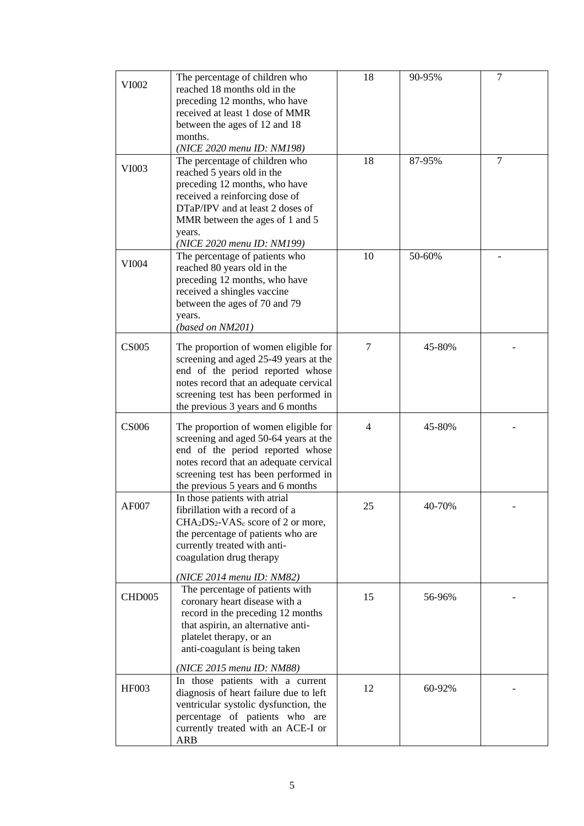| VI002        | The percentage of children who<br>reached 18 months old in the<br>preceding 12 months, who have<br>received at least 1 dose of MMR<br>between the ages of 12 and 18<br>months.<br>(NICE 2020 menu ID: NM198)                                   | 18             | 90-95% | $\tau$ |
|--------------|------------------------------------------------------------------------------------------------------------------------------------------------------------------------------------------------------------------------------------------------|----------------|--------|--------|
| VI003        | The percentage of children who<br>reached 5 years old in the<br>preceding 12 months, who have<br>received a reinforcing dose of<br>DTaP/IPV and at least 2 doses of<br>MMR between the ages of 1 and 5<br>years.<br>(NICE 2020 menu ID: NM199) | 18             | 87-95% | $\tau$ |
| VI004        | The percentage of patients who<br>reached 80 years old in the<br>preceding 12 months, who have<br>received a shingles vaccine<br>between the ages of 70 and 79<br>years.<br>(based on NM201)                                                   | 10             | 50-60% |        |
| <b>CS005</b> | The proportion of women eligible for<br>screening and aged 25-49 years at the<br>end of the period reported whose<br>notes record that an adequate cervical<br>screening test has been performed in<br>the previous 3 years and 6 months       | 7              | 45-80% |        |
| <b>CS006</b> | The proportion of women eligible for<br>screening and aged 50-64 years at the<br>end of the period reported whose<br>notes record that an adequate cervical<br>screening test has been performed in<br>the previous 5 years and 6 months       | $\overline{4}$ | 45-80% |        |
| AF007        | In those patients with atrial<br>fibrillation with a record of a<br>$CHA2DS2-VASc$ score of 2 or more,<br>the percentage of patients who are<br>currently treated with anti-<br>coagulation drug therapy<br>(NICE 2014 menu ID: NM82)          | 25             | 40-70% |        |
| CHD005       | The percentage of patients with<br>coronary heart disease with a<br>record in the preceding 12 months<br>that aspirin, an alternative anti-<br>platelet therapy, or an<br>anti-coagulant is being taken<br>(NICE 2015 menu ID: NM88)           | 15             | 56-96% |        |
| <b>HF003</b> | In those patients with a current<br>diagnosis of heart failure due to left<br>ventricular systolic dysfunction, the<br>percentage of patients who are<br>currently treated with an ACE-I or<br>ARB                                             | 12             | 60-92% |        |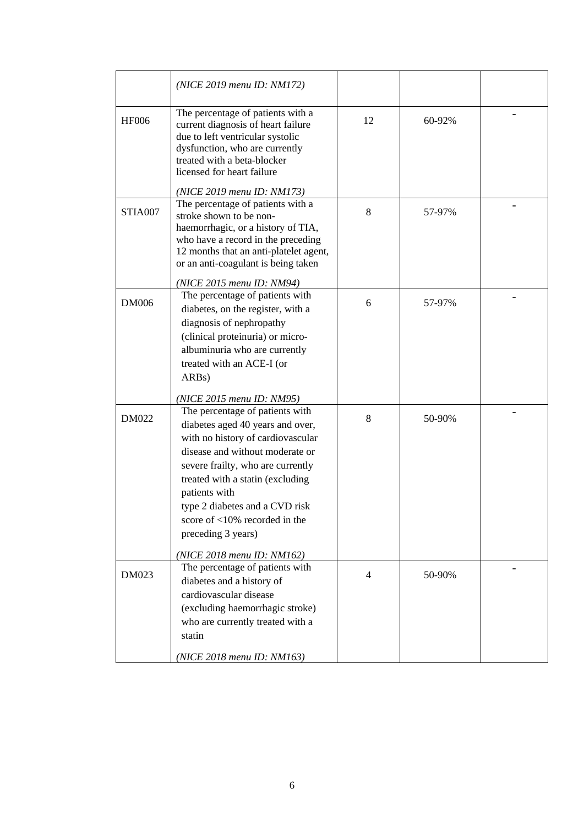|              | (NICE 2019 menu ID: NM172)                                                                                                                                                                                                                                                                                                               |                |        |  |
|--------------|------------------------------------------------------------------------------------------------------------------------------------------------------------------------------------------------------------------------------------------------------------------------------------------------------------------------------------------|----------------|--------|--|
| <b>HF006</b> | The percentage of patients with a<br>current diagnosis of heart failure<br>due to left ventricular systolic<br>dysfunction, who are currently<br>treated with a beta-blocker<br>licensed for heart failure                                                                                                                               | 12             | 60-92% |  |
|              | (NICE 2019 menu ID: NM173)                                                                                                                                                                                                                                                                                                               |                |        |  |
| STIA007      | The percentage of patients with a<br>stroke shown to be non-<br>haemorrhagic, or a history of TIA,<br>who have a record in the preceding<br>12 months that an anti-platelet agent,<br>or an anti-coagulant is being taken                                                                                                                | 8              | 57-97% |  |
|              | (NICE 2015 menu ID: NM94)                                                                                                                                                                                                                                                                                                                |                |        |  |
| <b>DM006</b> | The percentage of patients with<br>diabetes, on the register, with a                                                                                                                                                                                                                                                                     | 6              | 57-97% |  |
|              | diagnosis of nephropathy<br>(clinical proteinuria) or micro-<br>albuminuria who are currently                                                                                                                                                                                                                                            |                |        |  |
|              | treated with an ACE-I (or<br>ARB <sub>s</sub> )                                                                                                                                                                                                                                                                                          |                |        |  |
|              | (NICE 2015 menu ID: NM95)                                                                                                                                                                                                                                                                                                                |                |        |  |
| <b>DM022</b> | The percentage of patients with<br>diabetes aged 40 years and over,<br>with no history of cardiovascular<br>disease and without moderate or<br>severe frailty, who are currently<br>treated with a statin (excluding<br>patients with<br>type 2 diabetes and a CVD risk<br>score of $\langle 10\%$ recorded in the<br>preceding 3 years) | 8              | 50-90% |  |
|              | (NICE 2018 menu ID: NM162)                                                                                                                                                                                                                                                                                                               |                |        |  |
| DM023        | The percentage of patients with<br>diabetes and a history of<br>cardiovascular disease<br>(excluding haemorrhagic stroke)<br>who are currently treated with a<br>statin                                                                                                                                                                  | $\overline{4}$ | 50-90% |  |
|              | (NICE 2018 menu ID: NM163)                                                                                                                                                                                                                                                                                                               |                |        |  |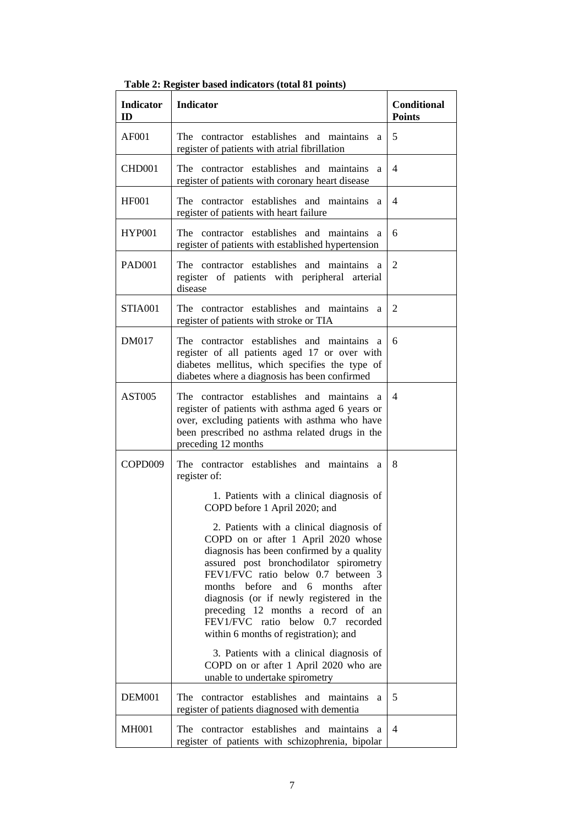| <b>Indicator</b><br>ID | <b>Indicator</b>                                                                                                                                                                                                                                                                                                                                                                                                             | <b>Conditional</b><br><b>Points</b> |
|------------------------|------------------------------------------------------------------------------------------------------------------------------------------------------------------------------------------------------------------------------------------------------------------------------------------------------------------------------------------------------------------------------------------------------------------------------|-------------------------------------|
| AF001                  | The contractor establishes and maintains<br>a<br>register of patients with atrial fibrillation                                                                                                                                                                                                                                                                                                                               | 5                                   |
| CHD <sub>001</sub>     | The contractor establishes and maintains<br>a<br>register of patients with coronary heart disease                                                                                                                                                                                                                                                                                                                            | 4                                   |
| <b>HF001</b>           | The contractor establishes and maintains<br>a<br>register of patients with heart failure                                                                                                                                                                                                                                                                                                                                     | $\overline{4}$                      |
| <b>HYP001</b>          | contractor establishes and maintains<br>The <sub>1</sub><br>a<br>register of patients with established hypertension                                                                                                                                                                                                                                                                                                          | 6                                   |
| <b>PAD001</b>          | The contractor establishes and maintains<br><sub>a</sub><br>register of patients with peripheral arterial<br>disease                                                                                                                                                                                                                                                                                                         | $\mathfrak{2}$                      |
| STIA001                | The contractor establishes and maintains<br>a<br>register of patients with stroke or TIA                                                                                                                                                                                                                                                                                                                                     | 2                                   |
| <b>DM017</b>           | contractor establishes and maintains<br>The -<br>a<br>register of all patients aged 17 or over with<br>diabetes mellitus, which specifies the type of<br>diabetes where a diagnosis has been confirmed                                                                                                                                                                                                                       | 6                                   |
| <b>AST005</b>          | The contractor establishes and maintains<br>a<br>register of patients with asthma aged 6 years or<br>over, excluding patients with asthma who have<br>been prescribed no asthma related drugs in the<br>preceding 12 months                                                                                                                                                                                                  | $\overline{4}$                      |
| COPD009                | The contractor establishes and maintains a<br>register of:<br>1. Patients with a clinical diagnosis of<br>COPD before 1 April 2020; and                                                                                                                                                                                                                                                                                      | 8                                   |
|                        | 2. Patients with a clinical diagnosis of<br>COPD on or after 1 April 2020 whose<br>diagnosis has been confirmed by a quality<br>assured post bronchodilator spirometry<br>FEV1/FVC ratio below 0.7 between 3<br>before<br>months<br>and 6 months<br>after<br>diagnosis (or if newly registered in the<br>preceding 12 months a record of an<br>FEV1/FVC ratio below<br>0.7 recorded<br>within 6 months of registration); and |                                     |
|                        | 3. Patients with a clinical diagnosis of<br>COPD on or after 1 April 2020 who are<br>unable to undertake spirometry                                                                                                                                                                                                                                                                                                          |                                     |
| <b>DEM001</b>          | contractor establishes and maintains<br>The<br>a<br>register of patients diagnosed with dementia                                                                                                                                                                                                                                                                                                                             | 5                                   |
| <b>MH001</b>           | contractor establishes and maintains<br>The<br>a<br>register of patients with schizophrenia, bipolar                                                                                                                                                                                                                                                                                                                         | 4                                   |

**Table 2: Register based indicators (total 81 points)**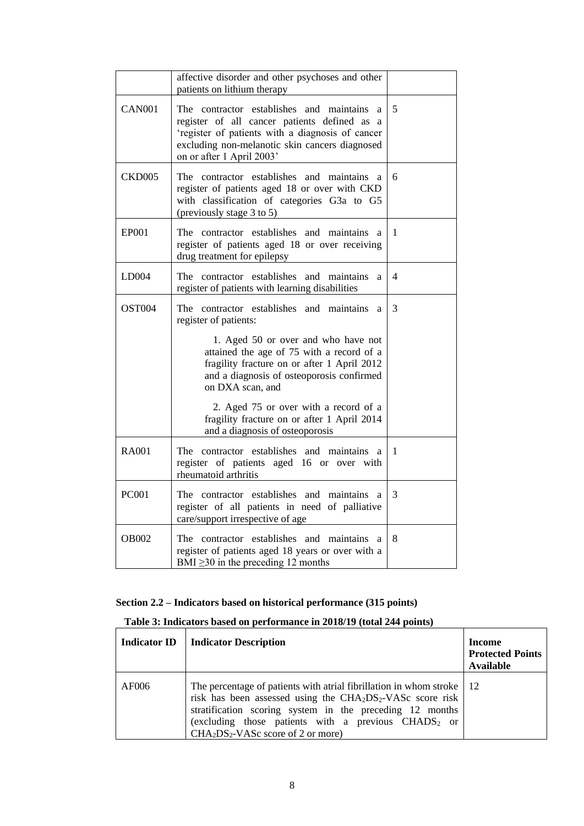|                    | affective disorder and other psychoses and other<br>patients on lithium therapy                                                                                                                                                      |                |
|--------------------|--------------------------------------------------------------------------------------------------------------------------------------------------------------------------------------------------------------------------------------|----------------|
| <b>CAN001</b>      | contractor establishes and maintains<br>The<br>a.<br>register of all cancer patients defined as a<br>'register of patients with a diagnosis of cancer<br>excluding non-melanotic skin cancers diagnosed<br>on or after 1 April 2003' | 5              |
| <b>CKD005</b>      | The contractor establishes and maintains<br><sup>2</sup><br>register of patients aged 18 or over with CKD<br>with classification of categories G3a to G5<br>(previously stage 3 to 5)                                                | 6              |
| <b>EP001</b>       | The contractor establishes and maintains<br>a<br>register of patients aged 18 or over receiving<br>drug treatment for epilepsy                                                                                                       | 1              |
| LD004              | The contractor establishes and maintains<br>a<br>register of patients with learning disabilities                                                                                                                                     | $\overline{4}$ |
| OST <sub>004</sub> | contractor establishes and maintains<br>The<br>a<br>register of patients:                                                                                                                                                            | 3              |
|                    | 1. Aged 50 or over and who have not<br>attained the age of 75 with a record of a<br>fragility fracture on or after 1 April 2012<br>and a diagnosis of osteoporosis confirmed<br>on DXA scan, and                                     |                |
|                    | 2. Aged 75 or over with a record of a<br>fragility fracture on or after 1 April 2014<br>and a diagnosis of osteoporosis                                                                                                              |                |
| RA <sub>001</sub>  | The contractor establishes and maintains<br>a<br>register of patients aged 16 or over with<br>rheumatoid arthritis                                                                                                                   | 1              |
| <b>PC001</b>       | The contractor establishes and maintains<br>a<br>register of all patients in need of palliative<br>care/support irrespective of age                                                                                                  | 3              |
| <b>OB002</b>       | The contractor establishes and maintains a<br>register of patients aged 18 years or over with a<br>BMI $\geq$ 30 in the preceding 12 months                                                                                          | 8              |

# **Section 2.2 – Indicators based on historical performance (315 points)**

# **Table 3: Indicators based on performance in 2018/19 (total 244 points)**

| <b>Indicator ID</b> | <b>Indicator Description</b>                                                                                                                                                                                                                                                                                                                            | Income<br><b>Protected Points</b><br><b>Available</b> |
|---------------------|---------------------------------------------------------------------------------------------------------------------------------------------------------------------------------------------------------------------------------------------------------------------------------------------------------------------------------------------------------|-------------------------------------------------------|
| AF006               | The percentage of patients with a trial fibrillation in whom stroke $\vert$ 12<br>risk has been assessed using the CHA <sub>2</sub> DS <sub>2</sub> -VASc score risk<br>stratification scoring system in the preceding 12 months<br>(excluding those patients with a previous $CHADS2$ or<br>CHA <sub>2</sub> DS <sub>2</sub> -VASc score of 2 or more) |                                                       |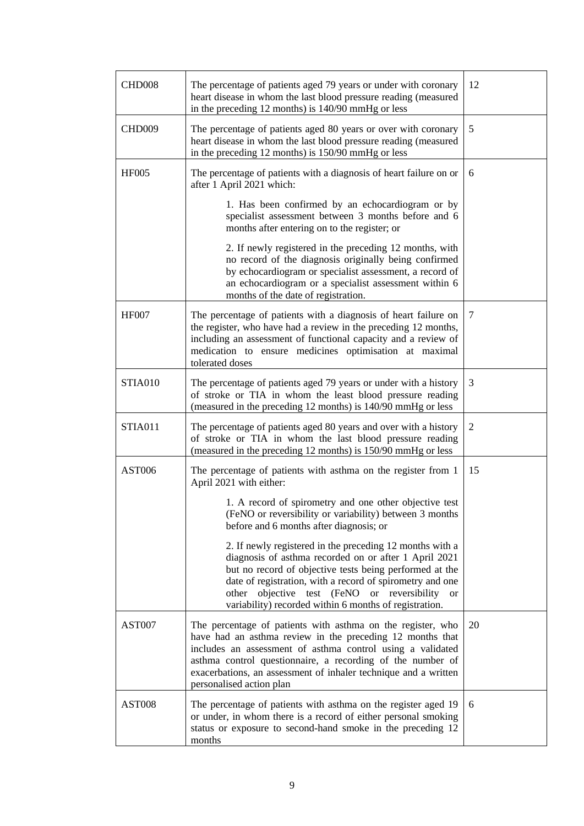| CHD008        | The percentage of patients aged 79 years or under with coronary<br>heart disease in whom the last blood pressure reading (measured<br>in the preceding 12 months) is 140/90 mmHg or less                                                                                                                                                                        | 12             |
|---------------|-----------------------------------------------------------------------------------------------------------------------------------------------------------------------------------------------------------------------------------------------------------------------------------------------------------------------------------------------------------------|----------------|
| CHD009        | The percentage of patients aged 80 years or over with coronary<br>heart disease in whom the last blood pressure reading (measured<br>in the preceding 12 months) is 150/90 mmHg or less                                                                                                                                                                         | 5              |
| <b>HF005</b>  | The percentage of patients with a diagnosis of heart failure on or<br>after 1 April 2021 which:                                                                                                                                                                                                                                                                 | 6              |
|               | 1. Has been confirmed by an echocardiogram or by<br>specialist assessment between 3 months before and 6<br>months after entering on to the register; or                                                                                                                                                                                                         |                |
|               | 2. If newly registered in the preceding 12 months, with<br>no record of the diagnosis originally being confirmed<br>by echocardiogram or specialist assessment, a record of<br>an echocardiogram or a specialist assessment within 6<br>months of the date of registration.                                                                                     |                |
| <b>HF007</b>  | The percentage of patients with a diagnosis of heart failure on<br>the register, who have had a review in the preceding 12 months,<br>including an assessment of functional capacity and a review of<br>medication to ensure medicines optimisation at maximal<br>tolerated doses                                                                               | 7              |
| STIA010       | The percentage of patients aged 79 years or under with a history<br>of stroke or TIA in whom the least blood pressure reading<br>(measured in the preceding 12 months) is 140/90 mmHg or less                                                                                                                                                                   | 3              |
| STIA011       | The percentage of patients aged 80 years and over with a history<br>of stroke or TIA in whom the last blood pressure reading<br>(measured in the preceding 12 months) is 150/90 mmHg or less                                                                                                                                                                    | $\overline{2}$ |
| <b>AST006</b> | The percentage of patients with asthma on the register from 1<br>April 2021 with either:                                                                                                                                                                                                                                                                        | 15             |
|               | 1. A record of spirometry and one other objective test<br>(FeNO or reversibility or variability) between 3 months<br>before and 6 months after diagnosis; or                                                                                                                                                                                                    |                |
|               | 2. If newly registered in the preceding 12 months with a<br>diagnosis of asthma recorded on or after 1 April 2021<br>but no record of objective tests being performed at the<br>date of registration, with a record of spirometry and one<br>other objective test (FeNO or reversibility<br><b>or</b><br>variability) recorded within 6 months of registration. |                |
| AST007        | The percentage of patients with asthma on the register, who<br>have had an asthma review in the preceding 12 months that<br>includes an assessment of asthma control using a validated<br>asthma control questionnaire, a recording of the number of<br>exacerbations, an assessment of inhaler technique and a written<br>personalised action plan             | 20             |
| AST008        | The percentage of patients with asthma on the register aged 19<br>or under, in whom there is a record of either personal smoking<br>status or exposure to second-hand smoke in the preceding 12<br>months                                                                                                                                                       | 6              |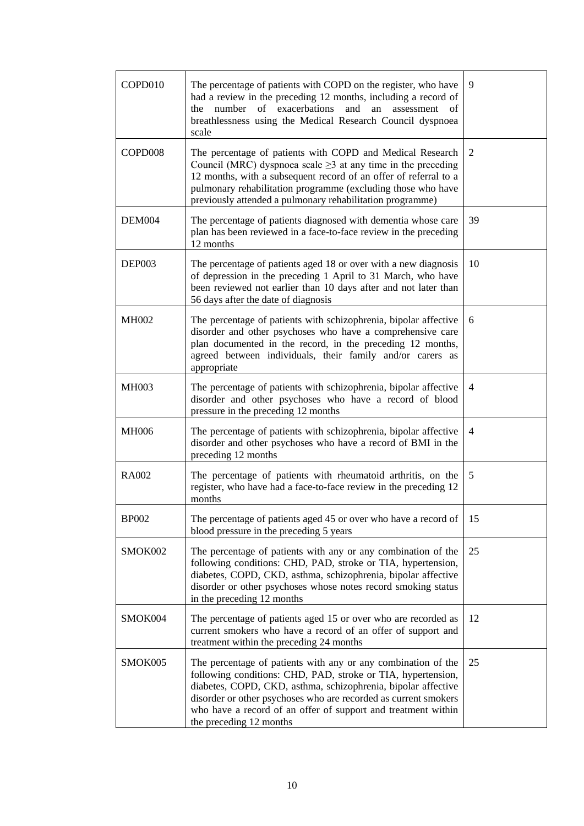| COPD010      | The percentage of patients with COPD on the register, who have<br>had a review in the preceding 12 months, including a record of<br>number of exacerbations<br>and<br>the<br>an<br>assessment<br>оf<br>breathlessness using the Medical Research Council dyspnoea<br>scale                                                                                    | 9              |
|--------------|---------------------------------------------------------------------------------------------------------------------------------------------------------------------------------------------------------------------------------------------------------------------------------------------------------------------------------------------------------------|----------------|
| COPD008      | The percentage of patients with COPD and Medical Research<br>Council (MRC) dyspnoea scale $\geq$ 3 at any time in the preceding<br>12 months, with a subsequent record of an offer of referral to a<br>pulmonary rehabilitation programme (excluding those who have<br>previously attended a pulmonary rehabilitation programme)                              | 2              |
| DEM004       | The percentage of patients diagnosed with dementia whose care<br>plan has been reviewed in a face-to-face review in the preceding<br>12 months                                                                                                                                                                                                                | 39             |
| DEP003       | The percentage of patients aged 18 or over with a new diagnosis<br>of depression in the preceding 1 April to 31 March, who have<br>been reviewed not earlier than 10 days after and not later than<br>56 days after the date of diagnosis                                                                                                                     | 10             |
| <b>MH002</b> | The percentage of patients with schizophrenia, bipolar affective<br>disorder and other psychoses who have a comprehensive care<br>plan documented in the record, in the preceding 12 months,<br>agreed between individuals, their family and/or carers as<br>appropriate                                                                                      | 6              |
| <b>MH003</b> | The percentage of patients with schizophrenia, bipolar affective<br>disorder and other psychoses who have a record of blood<br>pressure in the preceding 12 months                                                                                                                                                                                            | $\overline{4}$ |
| <b>MH006</b> | The percentage of patients with schizophrenia, bipolar affective<br>disorder and other psychoses who have a record of BMI in the<br>preceding 12 months                                                                                                                                                                                                       | 4              |
| <b>RA002</b> | The percentage of patients with rheumatoid arthritis, on the<br>register, who have had a face-to-face review in the preceding 12<br>months                                                                                                                                                                                                                    | 5              |
| <b>BP002</b> | The percentage of patients aged 45 or over who have a record of<br>blood pressure in the preceding 5 years                                                                                                                                                                                                                                                    | 15             |
| SMOK002      | The percentage of patients with any or any combination of the<br>following conditions: CHD, PAD, stroke or TIA, hypertension,<br>diabetes, COPD, CKD, asthma, schizophrenia, bipolar affective<br>disorder or other psychoses whose notes record smoking status<br>in the preceding 12 months                                                                 | 25             |
| SMOK004      | The percentage of patients aged 15 or over who are recorded as<br>current smokers who have a record of an offer of support and<br>treatment within the preceding 24 months                                                                                                                                                                                    | 12             |
| SMOK005      | The percentage of patients with any or any combination of the<br>following conditions: CHD, PAD, stroke or TIA, hypertension,<br>diabetes, COPD, CKD, asthma, schizophrenia, bipolar affective<br>disorder or other psychoses who are recorded as current smokers<br>who have a record of an offer of support and treatment within<br>the preceding 12 months | 25             |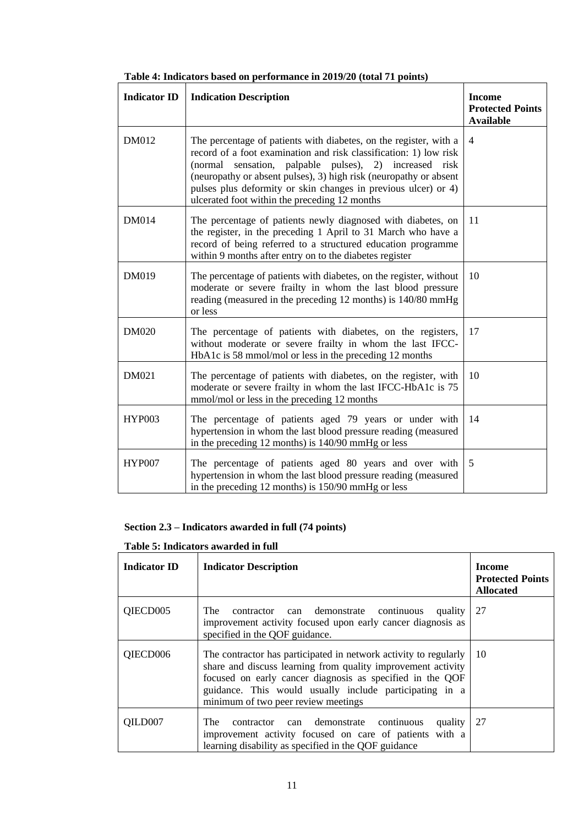| <b>Indicator ID</b> | <b>Indication Description</b>                                                                                                                                                                                                                                                                                                                                                                  | <b>Income</b><br><b>Protected Points</b><br><b>Available</b> |
|---------------------|------------------------------------------------------------------------------------------------------------------------------------------------------------------------------------------------------------------------------------------------------------------------------------------------------------------------------------------------------------------------------------------------|--------------------------------------------------------------|
| DM012               | The percentage of patients with diabetes, on the register, with a<br>record of a foot examination and risk classification: 1) low risk<br>(normal sensation, palpable pulses),<br>2) increased<br>risk<br>(neuropathy or absent pulses), 3) high risk (neuropathy or absent<br>pulses plus deformity or skin changes in previous ulcer) or 4)<br>ulcerated foot within the preceding 12 months | 4                                                            |
| <b>DM014</b>        | The percentage of patients newly diagnosed with diabetes, on<br>the register, in the preceding 1 April to 31 March who have a<br>record of being referred to a structured education programme<br>within 9 months after entry on to the diabetes register                                                                                                                                       | 11                                                           |
| DM019               | The percentage of patients with diabetes, on the register, without<br>moderate or severe frailty in whom the last blood pressure<br>reading (measured in the preceding 12 months) is 140/80 mmHg<br>or less                                                                                                                                                                                    | 10                                                           |
| <b>DM020</b>        | The percentage of patients with diabetes, on the registers,<br>without moderate or severe frailty in whom the last IFCC-<br>HbA1c is 58 mmol/mol or less in the preceding 12 months                                                                                                                                                                                                            | 17                                                           |
| DM021               | The percentage of patients with diabetes, on the register, with<br>moderate or severe frailty in whom the last IFCC-HbA1c is 75<br>mmol/mol or less in the preceding 12 months                                                                                                                                                                                                                 | 10                                                           |
| <b>HYP003</b>       | The percentage of patients aged 79 years or under with<br>hypertension in whom the last blood pressure reading (measured<br>in the preceding 12 months) is 140/90 mmHg or less                                                                                                                                                                                                                 | 14                                                           |
| <b>HYP007</b>       | The percentage of patients aged 80 years and over with<br>hypertension in whom the last blood pressure reading (measured<br>in the preceding 12 months) is 150/90 mmHg or less                                                                                                                                                                                                                 | 5                                                            |

**Table 4: Indicators based on performance in 2019/20 (total 71 points)**

## **Section 2.3 – Indicators awarded in full (74 points)**

## **Table 5: Indicators awarded in full**

| <b>Indicator ID</b> | <b>Indicator Description</b>                                                                                                                                                                                                                                                                    | Income<br><b>Protected Points</b><br><b>Allocated</b> |
|---------------------|-------------------------------------------------------------------------------------------------------------------------------------------------------------------------------------------------------------------------------------------------------------------------------------------------|-------------------------------------------------------|
| QIECD005            | The<br>contractor can demonstrate continuous<br>quality<br>improvement activity focused upon early cancer diagnosis as<br>specified in the QOF guidance.                                                                                                                                        | 27                                                    |
| QIECD006            | The contractor has participated in network activity to regularly<br>share and discuss learning from quality improvement activity<br>focused on early cancer diagnosis as specified in the QOF<br>guidance. This would usually include participating in a<br>minimum of two peer review meetings | 10                                                    |
| OILD007             | The<br>contractor can demonstrate continuous<br>quality<br>improvement activity focused on care of patients with a<br>learning disability as specified in the QOF guidance                                                                                                                      | 27                                                    |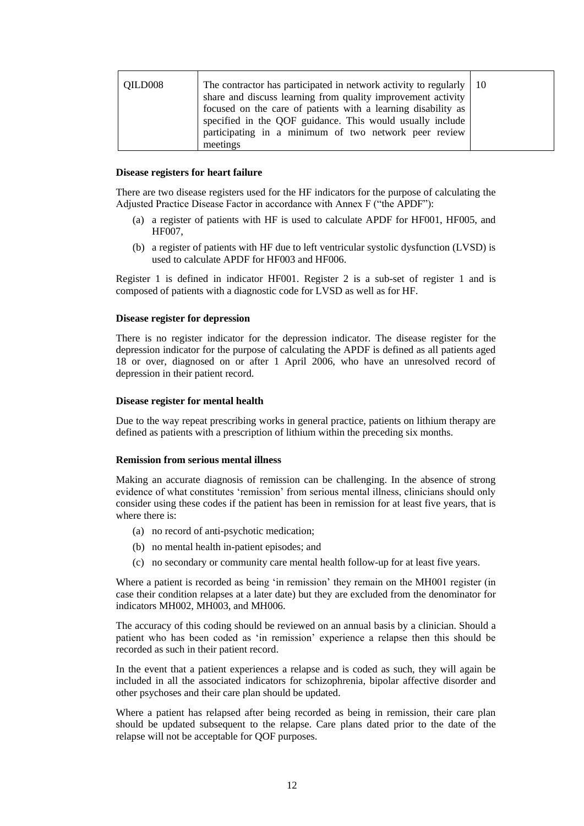| QILD008 | The contractor has participated in network activity to regularly $\vert$ 10<br>share and discuss learning from quality improvement activity<br>focused on the care of patients with a learning disability as<br>specified in the QOF guidance. This would usually include |  |
|---------|---------------------------------------------------------------------------------------------------------------------------------------------------------------------------------------------------------------------------------------------------------------------------|--|
|         | participating in a minimum of two network peer review<br>meetings                                                                                                                                                                                                         |  |

#### **Disease registers for heart failure**

There are two disease registers used for the HF indicators for the purpose of calculating the Adjusted Practice Disease Factor in accordance with Annex F ("the APDF"):

- (a) a register of patients with HF is used to calculate APDF for HF001, HF005, and HF007,
- (b) a register of patients with HF due to left ventricular systolic dysfunction (LVSD) is used to calculate APDF for HF003 and HF006.

Register 1 is defined in indicator HF001. Register 2 is a sub-set of register 1 and is composed of patients with a diagnostic code for LVSD as well as for HF.

#### **Disease register for depression**

There is no register indicator for the depression indicator. The disease register for the depression indicator for the purpose of calculating the APDF is defined as all patients aged 18 or over, diagnosed on or after 1 April 2006, who have an unresolved record of depression in their patient record.

#### **Disease register for mental health**

Due to the way repeat prescribing works in general practice, patients on lithium therapy are defined as patients with a prescription of lithium within the preceding six months.

#### **Remission from serious mental illness**

Making an accurate diagnosis of remission can be challenging. In the absence of strong evidence of what constitutes 'remission' from serious mental illness, clinicians should only consider using these codes if the patient has been in remission for at least five years, that is where there is:

- (a) no record of anti-psychotic medication;
- (b) no mental health in-patient episodes; and
- (c) no secondary or community care mental health follow-up for at least five years.

Where a patient is recorded as being 'in remission' they remain on the MH001 register (in case their condition relapses at a later date) but they are excluded from the denominator for indicators MH002, MH003, and MH006.

The accuracy of this coding should be reviewed on an annual basis by a clinician. Should a patient who has been coded as 'in remission' experience a relapse then this should be recorded as such in their patient record.

In the event that a patient experiences a relapse and is coded as such, they will again be included in all the associated indicators for schizophrenia, bipolar affective disorder and other psychoses and their care plan should be updated.

Where a patient has relapsed after being recorded as being in remission, their care plan should be updated subsequent to the relapse. Care plans dated prior to the date of the relapse will not be acceptable for QOF purposes.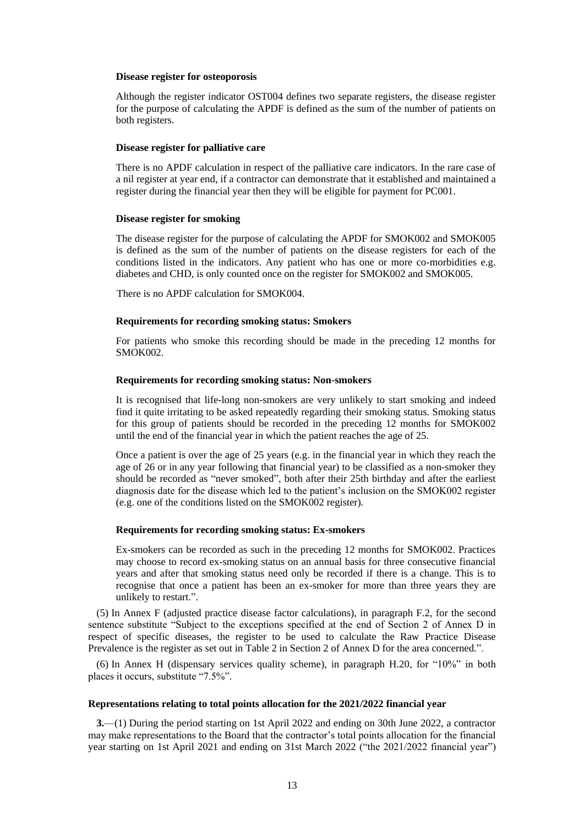#### **Disease register for osteoporosis**

Although the register indicator OST004 defines two separate registers, the disease register for the purpose of calculating the APDF is defined as the sum of the number of patients on both registers.

#### **Disease register for palliative care**

There is no APDF calculation in respect of the palliative care indicators. In the rare case of a nil register at year end, if a contractor can demonstrate that it established and maintained a register during the financial year then they will be eligible for payment for PC001.

#### **Disease register for smoking**

The disease register for the purpose of calculating the APDF for SMOK002 and SMOK005 is defined as the sum of the number of patients on the disease registers for each of the conditions listed in the indicators. Any patient who has one or more co-morbidities e.g. diabetes and CHD, is only counted once on the register for SMOK002 and SMOK005.

There is no APDF calculation for SMOK004.

### **Requirements for recording smoking status: Smokers**

For patients who smoke this recording should be made in the preceding 12 months for SMOK002.

### **Requirements for recording smoking status: Non-smokers**

It is recognised that life-long non-smokers are very unlikely to start smoking and indeed find it quite irritating to be asked repeatedly regarding their smoking status. Smoking status for this group of patients should be recorded in the preceding 12 months for SMOK002 until the end of the financial year in which the patient reaches the age of 25.

Once a patient is over the age of 25 years (e.g. in the financial year in which they reach the age of 26 or in any year following that financial year) to be classified as a non-smoker they should be recorded as "never smoked", both after their 25th birthday and after the earliest diagnosis date for the disease which led to the patient's inclusion on the SMOK002 register (e.g. one of the conditions listed on the SMOK002 register).

#### **Requirements for recording smoking status: Ex-smokers**

Ex-smokers can be recorded as such in the preceding 12 months for SMOK002. Practices may choose to record ex-smoking status on an annual basis for three consecutive financial years and after that smoking status need only be recorded if there is a change. This is to recognise that once a patient has been an ex-smoker for more than three years they are unlikely to restart.".

(5) In Annex F (adjusted practice disease factor calculations), in paragraph F.2, for the second sentence substitute "Subject to the exceptions specified at the end of Section 2 of Annex D in respect of specific diseases, the register to be used to calculate the Raw Practice Disease Prevalence is the register as set out in Table 2 in Section 2 of Annex D for the area concerned.".

(6) In Annex H (dispensary services quality scheme), in paragraph H.20, for "10%" in both places it occurs, substitute "7.5%".

### **Representations relating to total points allocation for the 2021/2022 financial year**

**3.**—(1) During the period starting on 1st April 2022 and ending on 30th June 2022, a contractor may make representations to the Board that the contractor's total points allocation for the financial year starting on 1st April 2021 and ending on 31st March 2022 ("the 2021/2022 financial year")